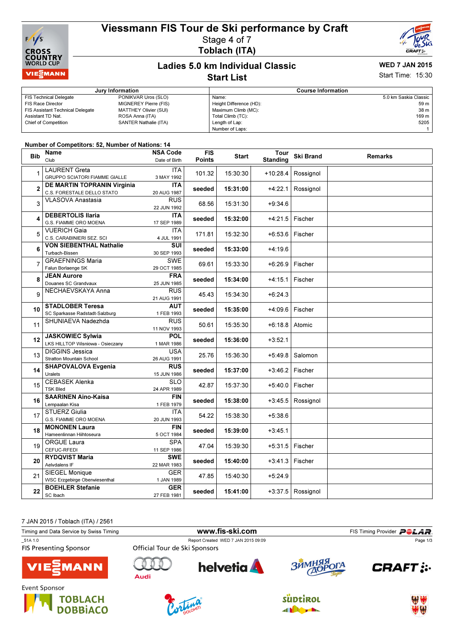



# Toblach (ITA)



#### Ladies 5.0 km Individual Classic Start List

## WED 7 JAN 2015

Start Time: 15:30

| Jury Information                        |                              | <b>Course Information</b> |                         |  |
|-----------------------------------------|------------------------------|---------------------------|-------------------------|--|
| FIS Technical Delegate                  | PONIKVAR Uros (SLO)          | Name:                     | 5.0 km Saskia Classic I |  |
| FIS Race Director                       | <b>MIGNEREY Pierre (FIS)</b> | Height Difference (HD):   | 59 m l                  |  |
| <b>FIS Assistant Technical Delegate</b> | MATTHEY Olivier (SUI)        | Maximum Climb (MC):       | 38 m                    |  |
| Assistant TD Nat.                       | ROSA Anna (ITA)              | Total Climb (TC):         | 169 m                   |  |
| <b>Chief of Competition</b>             | SANTER Nathalie (ITA)        | Length of Lap:            | 5205                    |  |
|                                         |                              | Number of Laps:           |                         |  |

#### Number of Competitors: 52, Number of Nations: 14

| <b>Bib</b>     | Name<br>Club                                                 | <b>NSA Code</b><br>Date of Birth       | <b>FIS</b><br><b>Points</b> | <b>Start</b> | Tour<br><b>Standing</b> | <b>Ski Brand</b> | <b>Remarks</b> |
|----------------|--------------------------------------------------------------|----------------------------------------|-----------------------------|--------------|-------------------------|------------------|----------------|
| 1              | <b>LAURENT Greta</b><br><b>GRUPPO SCIATORI FIAMME GIALLE</b> | <b>ITA</b><br>3 MAY 1992               | 101.32                      | 15:30:30     | $+10:28.4$              | Rossignol        |                |
| $\overline{2}$ | DE MARTIN TOPRANIN Virginia<br>C.S. FORESTALE DELLO STATO    | <b>ITA</b><br>20 AUG 1987              | seeded                      | 15:31:00     | +4:22.1                 | Rossignol        |                |
| 3              | <b>VLASOVA Anastasia</b>                                     | <b>RUS</b><br>22 JUN 1992              | 68.56                       | 15:31:30     | $+9:34.6$               |                  |                |
| 4              | <b>DEBERTOLIS Ilaria</b><br>G.S. FIAMME ORO MOENA            | <b>ITA</b><br>17 SEP 1989              | seeded                      | 15:32:00     | $+4:21.5$               | Fischer          |                |
| 5              | <b>VUERICH Gaia</b><br>C.S. CARABINIERI SEZ. SCI             | <b>ITA</b><br>4 JUL 1991               | 171.81                      | 15:32:30     | +6:53.6                 | Fischer          |                |
| 6              | <b>VON SIEBENTHAL Nathalie</b><br>Turbach-Bissen             | SUI<br>30 SEP 1993                     | seeded                      | 15:33:00     | +4:19.6                 |                  |                |
| 7              | <b>GRAEFNINGS Maria</b><br>Falun Borlaenge SK                | <b>SWE</b><br>29 OCT 1985              | 69.61                       | 15:33:30     | $+6:26.9$               | Fischer          |                |
| 8              | <b>JEAN Aurore</b><br>Douanes SC Grandvaux                   | <b>FRA</b><br>25 JUN 1985              | seeded                      | 15:34:00     | +4:15.1                 | Fischer          |                |
| 9              | NECHAEVSKAYA Anna                                            | <b>RUS</b><br>21 AUG 1991              | 45.43                       | 15:34:30     | $+6:24.3$               |                  |                |
| 10             | <b>STADLOBER Teresa</b><br>SC Sparkasse Radstadt-Salzburg    | <b>AUT</b><br>1 FEB 1993               | seeded                      | 15:35:00     | +4:09.6                 | Fischer          |                |
| 11             | SHUNIAEVA Nadezhda                                           | <b>RUS</b><br>11 NOV 1993              | 50.61                       | 15:35:30     | $+6:18.8$               | Atomic           |                |
| 12             | <b>JASKOWIEC Sylwia</b><br>LKS HILLTOP Wisniowa - Osieczany  | <b>POL</b><br>1 MAR 1986               | seeded                      | 15:36:00     | $+3:52.1$               |                  |                |
| 13             | <b>DIGGINS Jessica</b><br><b>Stratton Mountain School</b>    | <b>USA</b><br>26 AUG 1991              | 25.76                       | 15:36:30     | +5:49.8                 | Salomon          |                |
| 14             | <b>SHAPOVALOVA Evgenia</b><br>Uralets                        | <b>RUS</b><br>15 JUN 1986              | seeded                      | 15:37:00     | $+3:46.2$               | Fischer          |                |
| 15             | <b>CEBASEK Alenka</b><br><b>TSK Bled</b>                     | $\overline{\text{SLO}}$<br>24 APR 1989 | 42.87                       | 15:37:30     | $+5:40.0$               | Fischer          |                |
| 16             | <b>SAARINEN Aino-Kaisa</b><br>Lempaalan Kisa                 | <b>FIN</b><br>1 FEB 1979               | seeded                      | 15:38:00     | $+3:45.5$               | Rossignol        |                |
| 17             | <b>STUERZ Giulia</b><br>G.S. FIAMME ORO MOENA                | <b>ITA</b><br>20 JUN 1993              | 54.22                       | 15:38:30     | $+5:38.6$               |                  |                |
| 18             | <b>MONONEN Laura</b><br>Hameenlinnan Hiihtoseura             | <b>FIN</b><br>5 OCT 1984               | seeded                      | 15:39:00     | $+3:45.1$               |                  |                |
| 19             | <b>ORGUE Laura</b><br>CEFUC-RFEDI                            | <b>SPA</b><br>11 SEP 1986              | 47.04                       | 15:39:30     | +5:31.5                 | Fischer          |                |
| 20             | <b>RYDQVIST Maria</b><br>Aelvdalens IF                       | <b>SWE</b><br>22 MAR 1983              | seeded                      | 15:40:00     | $+3:41.3$               | Fischer          |                |
| 21             | <b>SIEGEL Monique</b><br>WSC Erzgebirge Oberwiesenthal       | <b>GER</b><br>1 JAN 1989               | 47.85                       | 15:40:30     | $+5:24.9$               |                  |                |
| 22             | <b>BOEHLER Stefanie</b><br>SC Ibach                          | <b>GER</b><br>27 FEB 1981              | seeded                      | 15:41:00     | $+3:37.5$               | Rossignol        |                |

7 JAN 2015 / Toblach (ITA) / 2561

| Timing and Data Service by Swiss Timing  |                               |                                     | FIS Timing Provider <b>POLAR</b> |               |
|------------------------------------------|-------------------------------|-------------------------------------|----------------------------------|---------------|
| 51A 1.0<br><b>FIS Presenting Sponsor</b> | Official Tour de Ski Sponsors | Report Created WED 7 JAN 2015 09:09 |                                  | Page 1/3      |
| <b>VIE EMANN</b>                         | Audi                          | <b>helvetia</b>                     | ЗЙМНЯЯ<br>ДОРОГА                 | <b>CRAFT:</b> |
| Event Sponsor<br><b>TOPLACU</b>          |                               |                                     | r                                | 229 324       |







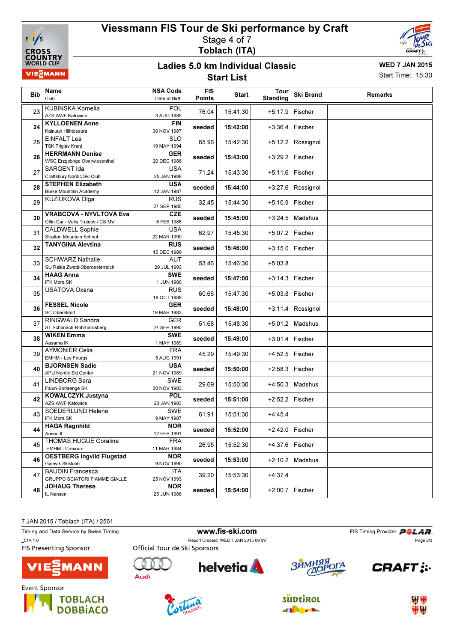

### Viessmann FIS Tour de Ski performance by Craft Stage 4 of 7 Toblach (ITA)



#### Ladies 5.0 km Individual Classic Start List

WED 7 JAN 2015 Start Time: 15:30

| <b>Bib</b> | Name<br>Club                                                        | <b>NSA Code</b><br>Date of Birth | <b>FIS</b><br><b>Points</b> | <b>Start</b> | Tour<br><b>Standing</b> | <b>Ski Brand</b> | <b>Remarks</b> |
|------------|---------------------------------------------------------------------|----------------------------------|-----------------------------|--------------|-------------------------|------------------|----------------|
| 23         | KUBINSKA Kornelia<br><b>AZS AWF Katowice</b>                        | POL<br>3 AUG 1985                | 76.04                       | 15:41:30     | $+5:17.9$               | Fischer          |                |
| 24         | <b>KYLLOENEN Anne</b><br>Kainuun Hiihtoseura                        | <b>FIN</b><br>30 NOV 1987        | seeded                      | 15:42:00     | $+3:36.4$               | Fischer          |                |
| 25         | <b>EINFALT Lea</b><br><b>TSK Triglav Kranj</b>                      | <b>SLO</b><br>19 MAY 1994        | 65.96                       | 15:42:30     | $+5:12.2$               | Rossignol        |                |
| 26         | <b>HERRMANN Denise</b><br>WSC Erzgebirge Oberwiesenthal             | <b>GER</b><br>20 DEC 1988        | seeded                      | 15:43:00     | $+3:29.2$               | Fischer          |                |
| 27         | SARGENT Ida<br>Craftsbury Nordic Ski Club                           | <b>USA</b><br>25 JAN 1988        | 71.24                       | 15:43:30     | $+5:11.6$               | Fischer          |                |
| 28         | <b>STEPHEN Elizabeth</b><br><b>Burke Mountain Academy</b>           | <b>USA</b><br>12 JAN 1987        | seeded                      | 15:44:00     | $+3:27.6$               | Rossignol        |                |
| 29         | KUZIUKOVA Olga                                                      | <b>RUS</b><br>27 SEP 1985        | 32.45                       | 15:44:30     | $+5:10.9$               | Fischer          |                |
| 30         | <b>VRABCOVA - NYVLTOVA Eva</b><br>Olfin Car - Vella Trutnov / CS MV | <b>CZE</b><br>6 FEB 1986         | seeded                      | 15:45:00     | $+3:24.5$               | Madshus          |                |
| 31         | <b>CALDWELL Sophie</b><br>Stratton Mountain School                  | <b>USA</b><br>22 MAR 1990        | 62.97                       | 15:45:30     | $+5:07.2$               | Fischer          |                |
| 32         | <b>TANYGINA Alevtina</b>                                            | <b>RUS</b><br>15 DEC 1989        | seeded                      | 15:46:00     | $+3:15.0$               | Fischer          |                |
| 33         | <b>SCHWARZ Nathalie</b><br>SU Raika Zwettl-Oberoesterreich          | <b>AUT</b><br>29 JUL 1993        | 53.46                       | 15:46:30     | $+5:03.8$               |                  |                |
| 34         | <b>HAAG Anna</b><br>IFK Mora SK                                     | <b>SWE</b><br>1 JUN 1986         | seeded                      | 15:47:00     | $+3:14.3$               | Fischer          |                |
| 35         | <b>USATOVA Oxana</b>                                                | <b>RUS</b><br>19 OCT 1988        | 60.66                       | 15:47:30     | $+5:03.8$               | Fischer          |                |
| 36         | <b>FESSEL Nicole</b><br><b>SC Oberstdorf</b>                        | <b>GER</b><br>19 MAR 1983        | seeded                      | 15:48:00     | $+3:11.4$               | Rossignol        |                |
| 37         | RINGWALD Sandra<br>ST Schonach-Rohrhardsberg                        | <b>GER</b><br>27 SEP 1990        | 51.68                       | 15:48:30     | $+5:01.2$               | Madshus          |                |
| 38         | <b>WIKEN Emma</b><br>Aasarna IK                                     | <b>SWE</b><br>1 MAY 1989         | seeded                      | 15:49:00     | $+3:01.4$               | Fischer          |                |
| 39         | <b>AYMONIER Celia</b><br>EMHM - Les Fourgs                          | <b>FRA</b><br>5 AUG 1991         | 45.29                       | 15:49:30     | $+4:52.5$               | Fischer          |                |
| 40         | <b>BJORNSEN Sadie</b><br>APU Nordic Ski Center                      | <b>USA</b><br>21 NOV 1989        | seeded                      | 15:50:00     | $+2:58.3$               | Fischer          |                |
| 41         | LINDBORG Sara<br>Falun-Borlaenge SK                                 | <b>SWE</b><br>30 NOV 1983        | 29.69                       | 15:50:30     | $+4:50.3$               | Madshus          |                |
| 42         | <b>KOWALCZYK Justyna</b><br><b>AZS AWF Katowice</b>                 | <b>POL</b><br>23 JAN 1983        | seeded                      | 15:51:00     | $+2:52.2$               | Fischer          |                |
| 43         | SOEDERLUND Helene<br>IFK Mora SK                                    | <b>SWE</b><br>9 MAY 1987         | 61.91                       | 15:51:30     | $+4:45.4$               |                  |                |
| 44         | <b>HAGA Ragnhild</b><br>Aasen IL                                    | <b>NOR</b><br>12 FEB 1991        | seeded                      | 15:52:00     | $+2:42.0$ Fischer       |                  |                |
| 45         | THOMAS HUGUE Coraline<br>EMHM - Crevoux                             | <b>FRA</b><br>11 MAR 1984        | 26.95                       | 15:52:30     | +4:37.6                 | Fischer          |                |
| 46         | <b>OESTBERG Ingvild Flugstad</b><br>Gjoevik Skiklubb                | <b>NOR</b><br>9 NOV 1990         | seeded                      | 15:53:00     | $+2:10.2$               | Madshus          |                |
| 47         | <b>BAUDIN Francesca</b><br>GRUPPO SCIATORI FIAMME GIALLE            | <b>ITA</b><br>25 NOV 1993        | 39.20                       | 15:53:30     | $+4:37.4$               |                  |                |
| 48         | <b>JOHAUG Therese</b><br>IL Nansen                                  | <b>NOR</b><br>25 JUN 1988        | seeded                      | 15:54:00     | $+2:00.7$               | Fischer          |                |

7 JAN 2015 / Toblach (ITA) / 2561